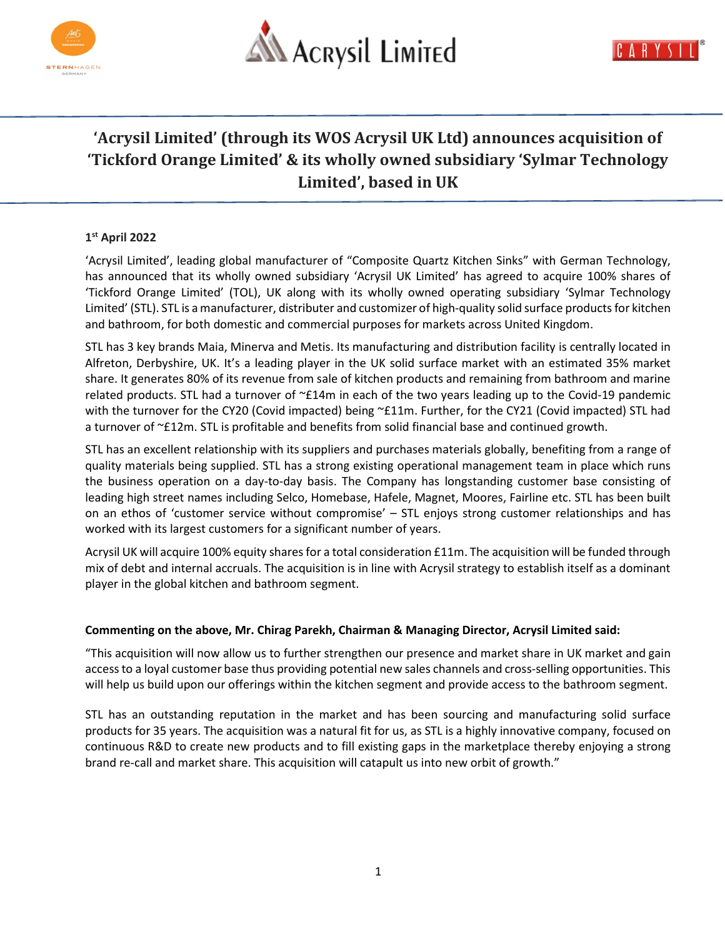



# 'Acrysil Limited' (through its WOS Acrysil UK Ltd) announces acquisition of 'Tickford Orange Limited' & its wholly owned subsidiary 'Sylmar Technology Limited', based in UK

## 1 st April 2022

'Acrysil Limited', leading global manufacturer of "Composite Quartz Kitchen Sinks" with German Technology, has announced that its wholly owned subsidiary 'Acrysil UK Limited' has agreed to acquire 100% shares of 'Tickford Orange Limited' (TOL), UK along with its wholly owned operating subsidiary 'Sylmar Technology Limited' (STL). STL is a manufacturer, distributer and customizer of high-quality solid surface products for kitchen and bathroom, for both domestic and commercial purposes for markets across United Kingdom.

STL has 3 key brands Maia, Minerva and Metis. Its manufacturing and distribution facility is centrally located in Alfreton, Derbyshire, UK. It's a leading player in the UK solid surface market with an estimated 35% market share. It generates 80% of its revenue from sale of kitchen products and remaining from bathroom and marine related products. STL had a turnover of ~£14m in each of the two years leading up to the Covid-19 pandemic with the turnover for the CY20 (Covid impacted) being ~£11m. Further, for the CY21 (Covid impacted) STL had a turnover of ~£12m. STL is profitable and benefits from solid financial base and continued growth.

STL has an excellent relationship with its suppliers and purchases materials globally, benefiting from a range of quality materials being supplied. STL has a strong existing operational management team in place which runs the business operation on a day-to-day basis. The Company has longstanding customer base consisting of leading high street names including Selco, Homebase, Hafele, Magnet, Moores, Fairline etc. STL has been built on an ethos of 'customer service without compromise' – STL enjoys strong customer relationships and has worked with its largest customers for a significant number of years.

Acrysil UK will acquire 100% equity shares for a total consideration £11m. The acquisition will be funded through mix of debt and internal accruals. The acquisition is in line with Acrysil strategy to establish itself as a dominant player in the global kitchen and bathroom segment.

### Commenting on the above, Mr. Chirag Parekh, Chairman & Managing Director, Acrysil Limited said:

"This acquisition will now allow us to further strengthen our presence and market share in UK market and gain access to a loyal customer base thus providing potential new sales channels and cross-selling opportunities. This will help us build upon our offerings within the kitchen segment and provide access to the bathroom segment.

STL has an outstanding reputation in the market and has been sourcing and manufacturing solid surface products for 35 years. The acquisition was a natural fit for us, as STL is a highly innovative company, focused on continuous R&D to create new products and to fill existing gaps in the marketplace thereby enjoying a strong brand re-call and market share. This acquisition will catapult us into new orbit of growth."